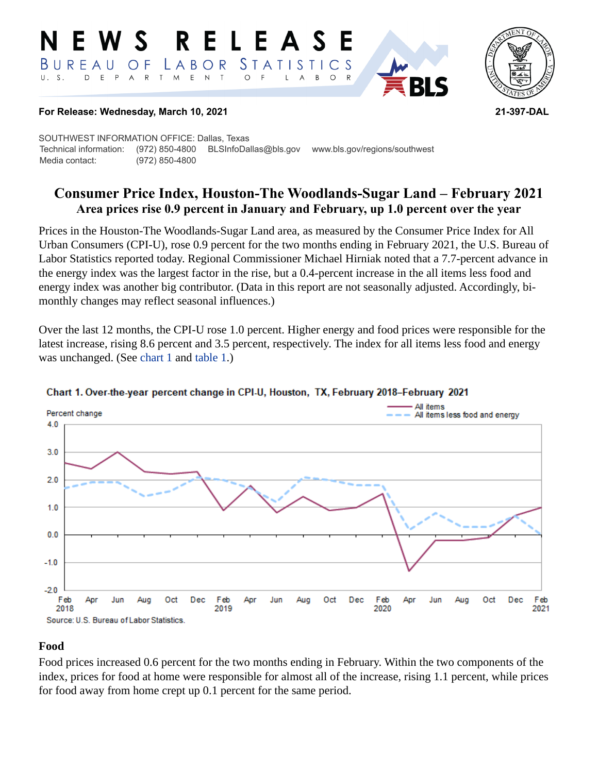#### RELEAS W S *STATISTICS* BUREAU  $\overline{O}$  F LABOR  $\mathsf{T}$  $\mathsf E$  $\top$ D  $E$  $\mathsf{P}$ A  $\mathsf{R}$ M  $\mathsf{N}\xspace$  $\circ$ B  $\circ$  $\mathsf{R}$ L A



## **For Release: Wednesday, March 10, 2021 21-397-DAL**

SOUTHWEST INFORMATION OFFICE: Dallas, Texas Technical information: (972) 850-4800 BLSInfoDallas@bls.gov www.bls.gov/regions/southwest Media contact: (972) 850-4800

# **Consumer Price Index, Houston-The Woodlands-Sugar Land – February 2021 Area prices rise 0.9 percent in January and February, up 1.0 percent over the year**

Prices in the Houston-The Woodlands-Sugar Land area, as measured by the Consumer Price Index for All Urban Consumers (CPI-U), rose 0.9 percent for the two months ending in February 2021, the U.S. Bureau of Labor Statistics reported today. Regional Commissioner Michael Hirniak noted that a 7.7-percent advance in the energy index was the largest factor in the rise, but a 0.4-percent increase in the all items less food and energy index was another big contributor. (Data in this report are not seasonally adjusted. Accordingly, bimonthly changes may reflect seasonal influences.)

Over the last 12 months, the CPI-U rose 1.0 percent. Higher energy and food prices were responsible for the latest increase, rising 8.6 percent and 3.5 percent, respectively. The index for all items less food and energy was unchanged. (See [chart 1](#page-0-0) and [table 1](#page-3-0).)



## <span id="page-0-0"></span>Chart 1. Over-the-year percent change in CPI-U, Houston, TX, February 2018-February 2021

## **Food**

Food prices increased 0.6 percent for the two months ending in February. Within the two components of the index, prices for food at home were responsible for almost all of the increase, rising 1.1 percent, while prices for food away from home crept up 0.1 percent for the same period.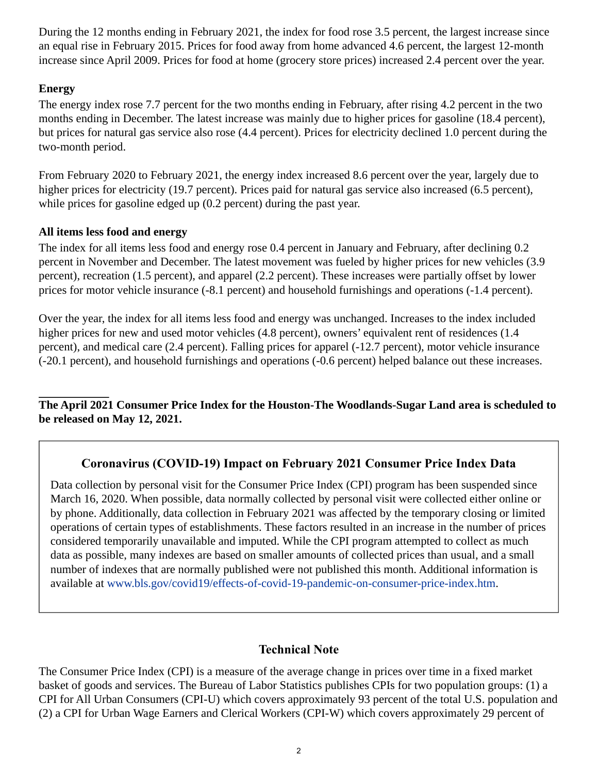During the 12 months ending in February 2021, the index for food rose 3.5 percent, the largest increase since an equal rise in February 2015. Prices for food away from home advanced 4.6 percent, the largest 12-month increase since April 2009. Prices for food at home (grocery store prices) increased 2.4 percent over the year.

## **Energy**

The energy index rose 7.7 percent for the two months ending in February, after rising 4.2 percent in the two months ending in December. The latest increase was mainly due to higher prices for gasoline (18.4 percent), but prices for natural gas service also rose (4.4 percent). Prices for electricity declined 1.0 percent during the two-month period.

From February 2020 to February 2021, the energy index increased 8.6 percent over the year, largely due to higher prices for electricity (19.7 percent). Prices paid for natural gas service also increased (6.5 percent), while prices for gasoline edged up (0.2 percent) during the past year.

## **All items less food and energy**

The index for all items less food and energy rose 0.4 percent in January and February, after declining 0.2 percent in November and December. The latest movement was fueled by higher prices for new vehicles (3.9 percent), recreation (1.5 percent), and apparel (2.2 percent). These increases were partially offset by lower prices for motor vehicle insurance (-8.1 percent) and household furnishings and operations (-1.4 percent).

Over the year, the index for all items less food and energy was unchanged. Increases to the index included higher prices for new and used motor vehicles (4.8 percent), owners' equivalent rent of residences (1.4 percent), and medical care (2.4 percent). Falling prices for apparel (-12.7 percent), motor vehicle insurance (-20.1 percent), and household furnishings and operations (-0.6 percent) helped balance out these increases.

**The April 2021 Consumer Price Index for the Houston-The Woodlands-Sugar Land area is scheduled to be released on May 12, 2021.**

# **Coronavirus (COVID-19) Impact on February 2021 Consumer Price Index Data**

Data collection by personal visit for the Consumer Price Index (CPI) program has been suspended since March 16, 2020. When possible, data normally collected by personal visit were collected either online or by phone. Additionally, data collection in February 2021 was affected by the temporary closing or limited operations of certain types of establishments. These factors resulted in an increase in the number of prices considered temporarily unavailable and imputed. While the CPI program attempted to collect as much data as possible, many indexes are based on smaller amounts of collected prices than usual, and a small number of indexes that are normally published were not published this month. Additional information is available at [www.bls.gov/covid19/effects-of-covid-19-pandemic-on-consumer-price-index.htm.](https://www.bls.gov/covid19/effects-of-covid-19-pandemic-on-consumer-price-index.htm)

## **Technical Note**

The Consumer Price Index (CPI) is a measure of the average change in prices over time in a fixed market basket of goods and services. The Bureau of Labor Statistics publishes CPIs for two population groups: (1) a CPI for All Urban Consumers (CPI-U) which covers approximately 93 percent of the total U.S. population and (2) a CPI for Urban Wage Earners and Clerical Workers (CPI-W) which covers approximately 29 percent of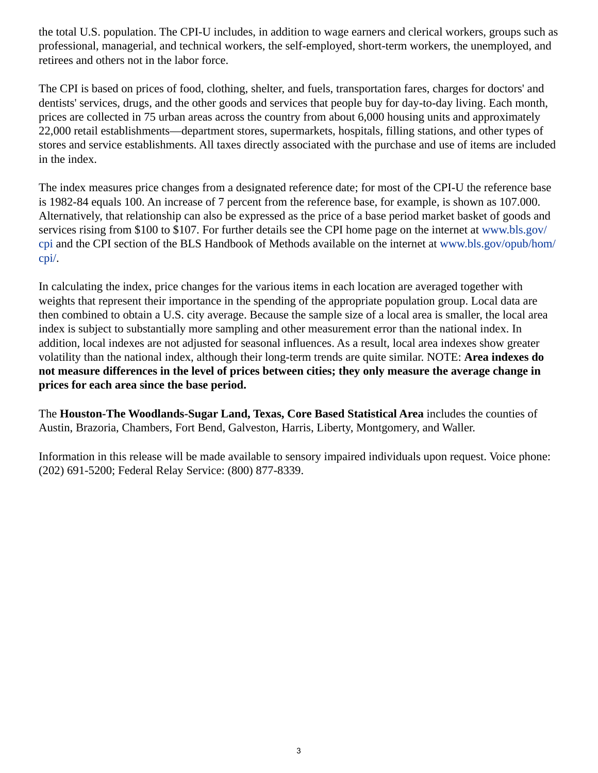the total U.S. population. The CPI-U includes, in addition to wage earners and clerical workers, groups such as professional, managerial, and technical workers, the self-employed, short-term workers, the unemployed, and retirees and others not in the labor force.

The CPI is based on prices of food, clothing, shelter, and fuels, transportation fares, charges for doctors' and dentists' services, drugs, and the other goods and services that people buy for day-to-day living. Each month, prices are collected in 75 urban areas across the country from about 6,000 housing units and approximately 22,000 retail establishments—department stores, supermarkets, hospitals, filling stations, and other types of stores and service establishments. All taxes directly associated with the purchase and use of items are included in the index.

The index measures price changes from a designated reference date; for most of the CPI-U the reference base is 1982-84 equals 100. An increase of 7 percent from the reference base, for example, is shown as 107.000. Alternatively, that relationship can also be expressed as the price of a base period market basket of goods and services rising from \$100 to \$107. For further details see the CPI home page on the internet at [www.bls.gov/](https://www.bls.gov/cpi) [cpi](https://www.bls.gov/cpi) and the CPI section of the BLS Handbook of Methods available on the internet at [www.bls.gov/opub/hom/](https://www.bls.gov/opub/hom/cpi/) [cpi/.](https://www.bls.gov/opub/hom/cpi/)

In calculating the index, price changes for the various items in each location are averaged together with weights that represent their importance in the spending of the appropriate population group. Local data are then combined to obtain a U.S. city average. Because the sample size of a local area is smaller, the local area index is subject to substantially more sampling and other measurement error than the national index. In addition, local indexes are not adjusted for seasonal influences. As a result, local area indexes show greater volatility than the national index, although their long-term trends are quite similar. NOTE: **Area indexes do not measure differences in the level of prices between cities; they only measure the average change in prices for each area since the base period.**

The **Houston-The Woodlands-Sugar Land, Texas, Core Based Statistical Area** includes the counties of Austin, Brazoria, Chambers, Fort Bend, Galveston, Harris, Liberty, Montgomery, and Waller.

Information in this release will be made available to sensory impaired individuals upon request. Voice phone: (202) 691-5200; Federal Relay Service: (800) 877-8339.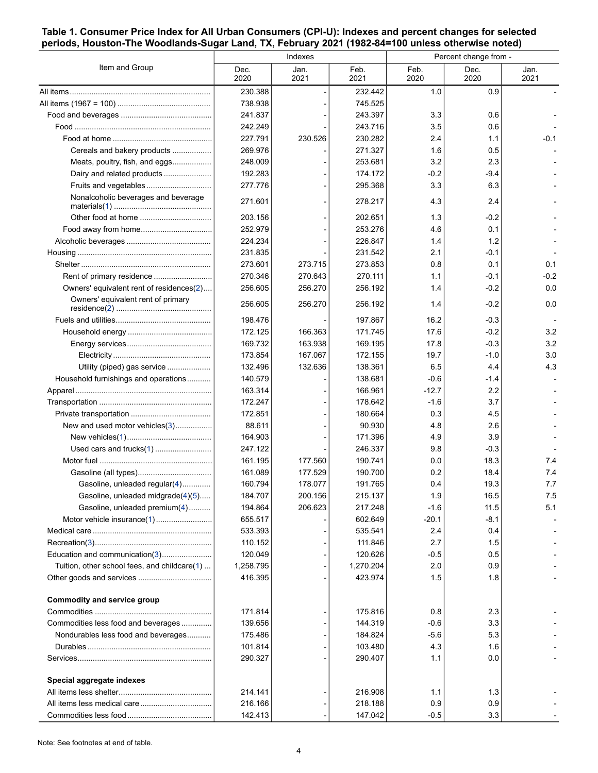#### <span id="page-3-0"></span>**Table 1. Consumer Price Index for All Urban Consumers (CPI-U): Indexes and percent changes for selected periods, Houston-The Woodlands-Sugar Land, TX, February 2021 (1982-84=100 unless otherwise noted)**

| Item and Group                               | Indexes      |              |              | Percent change from - |              |              |
|----------------------------------------------|--------------|--------------|--------------|-----------------------|--------------|--------------|
|                                              | Dec.<br>2020 | Jan.<br>2021 | Feb.<br>2021 | Feb.<br>2020          | Dec.<br>2020 | Jan.<br>2021 |
|                                              | 230.388      |              | 232.442      | 1.0                   | 0.9          |              |
|                                              | 738.938      |              | 745.525      |                       |              |              |
|                                              | 241.837      |              | 243.397      | 3.3                   | 0.6          |              |
|                                              | 242.249      |              | 243.716      | 35                    | 0.6          |              |
|                                              | 227.791      | 230.526      | 230.282      | 2.4                   | 1.1          | -0.1         |
| Cereals and bakery products                  | 269.976      |              | 271.327      | 1.6                   | 0.5          |              |
| Meats, poultry, fish, and eggs               | 248.009      |              | 253.681      | 3.2                   | 2.3          |              |
| Dairy and related products                   | 192.283      |              | 174.172      | $-0.2$                | -9.4         |              |
| Fruits and vegetables                        | 277.776      |              | 295.368      | 3.3                   | 6.3          |              |
| Nonalcoholic beverages and beverage          | 271.601      |              | 278.217      | 4.3                   | 2.4          |              |
|                                              | 203.156      |              | 202.651      | 1.3                   | $-0.2$       |              |
|                                              | 252.979      |              | 253.276      | 4.6                   | 0.1          |              |
|                                              | 224.234      |              | 226.847      | 1.4                   | 1.2          |              |
|                                              | 231.835      |              | 231.542      | 2.1                   | -0.1         |              |
|                                              | 273.601      | 273.715      | 273.853      | 0.8                   | 0.1          | 0.1          |
|                                              | 270.346      | 270.643      | 270.111      | 1.1                   | $-0.1$       | $-0.2$       |
| Owners' equivalent rent of residences(2)     | 256.605      | 256.270      | 256.192      | 1.4                   | $-0.2$       | 0.0          |
| Owners' equivalent rent of primary           | 256.605      | 256.270      | 256.192      | 1.4                   | $-0.2$       | 0.0          |
|                                              | 198.476      |              | 197.867      | 16.2                  | $-0.3$       |              |
|                                              | 172.125      | 166.363      | 171.745      | 17.6                  | $-0.2$       | 3.2          |
|                                              | 169.732      | 163.938      | 169.195      | 17.8                  | $-0.3$       | 3.2          |
|                                              | 173.854      | 167.067      | 172.155      | 19.7                  | $-1.0$       | 3.0          |
| Utility (piped) gas service                  | 132.496      | 132.636      | 138.361      | 6.5                   | 4.4          | 4.3          |
| Household furnishings and operations         | 140.579      |              | 138.681      | $-0.6$                | -1.4         |              |
|                                              | 163.314      |              | 166.961      | $-12.7$               | 2.2          |              |
|                                              | 172.247      |              | 178.642      | $-1.6$                | 3.7          |              |
|                                              | 172.851      |              | 180.664      | 0.3                   | 45           |              |
| New and used motor vehicles(3)               | 88.611       |              | 90.930       | 4.8                   | 2.6          |              |
|                                              | 164.903      |              | 171.396      |                       | 3.9          |              |
|                                              | 247.122      |              |              | 4.9                   |              |              |
| Used cars and trucks(1)                      |              |              | 246.337      | 9.8                   | $-0.3$       |              |
|                                              | 161.195      | 177.560      | 190.741      | 0.0                   | 18.3         | 7.4          |
|                                              | 161.089      | 177.529      | 190.700      | 0.2                   | 18.4         | 7.4          |
| Gasoline, unleaded regular(4)                | 160.794      | 178.077      | 191.765      | 0.4                   | 19.3         | 7.7          |
| Gasoline, unleaded midgrade(4)(5)            | 184.707      | 200.156      | 215.137      | 1.9                   | 16.5         | 7.5          |
| Gasoline, unleaded premium(4)                | 194.864      | 206.623      | 217.248      | $-1.6$                | 11.5         | 5.1          |
| Motor vehicle insurance(1)                   | 655.517      |              | 602.649      | $-20.1$               | -8.1         |              |
|                                              | 533.393      |              | 535.541      | 2.4                   | 0.4          |              |
|                                              | 110.152      |              | 111.846      | 2.7                   | 1.5          |              |
| Education and communication(3)               | 120.049      |              | 120.626      | -0.5                  | 0.5          |              |
| Tuition, other school fees, and childcare(1) | 1,258.795    |              | 1,270.204    | 2.0                   | 0.9          |              |
|                                              | 416.395      |              | 423.974      | 15                    | 1.8          |              |
| Commodity and service group                  | 171.814      |              | 175.816      | 0.8                   | 2.3          |              |
| Commodities less food and beverages          | 139.656      |              | 144.319      | $-0.6$                | 3.3          |              |
| Nondurables less food and beverages          | 175.486      |              | 184.824      | $-5.6$                | 5.3          |              |
|                                              | 101.814      |              | 103.480      | 4.3                   | 1.6          |              |
|                                              | 290.327      |              | 290.407      | 1.1                   | 0.0          |              |
| Special aggregate indexes                    |              |              |              |                       |              |              |
|                                              | 214.141      |              | 216.908      | 1.1                   | 1.3          |              |
|                                              | 216.166      |              | 218.188      | 0.9                   | 0.9          |              |
|                                              | 142.413      |              | 147.042      | $-0.5$                | 3.3          |              |